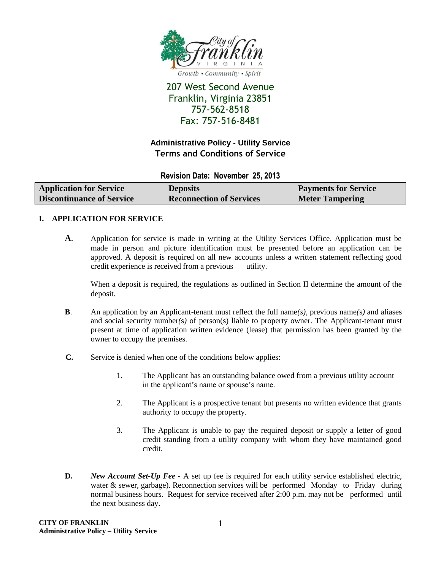

# 207 West Second Avenue Franklin, Virginia 23851 757-562-8518 Fax: 757-516-8481

## **Administrative Policy - Utility Service Terms and Conditions of Service**

**Revision Date: November 25, 2013**

| <b>Application for Service</b>   | <b>Deposits</b>                 | <b>Payments for Service</b> |
|----------------------------------|---------------------------------|-----------------------------|
| <b>Discontinuance of Service</b> | <b>Reconnection of Services</b> | <b>Meter Tampering</b>      |

#### **I. APPLICATION FOR SERVICE**

**A**. Application for service is made in writing at the Utility Services Office. Application must be made in person and picture identification must be presented before an application can be approved. A deposit is required on all new accounts unless a written statement reflecting good credit experience is received from a previous utility.

When a deposit is required, the regulations as outlined in Section II determine the amount of the deposit.

- **B**. An application by an Applicant-tenant must reflect the full name*(s)*, previous name*(*s*)* and aliases and social security number*(*s*)* of person(s) liable to property owner. The Applicant-tenant must present at time of application written evidence (lease) that permission has been granted by the owner to occupy the premises.
- **C.** Service is denied when one of the conditions below applies:
	- 1. The Applicant has an outstanding balance owed from a previous utility account in the applicant's name or spouse's name.
	- 2. The Applicant is a prospective tenant but presents no written evidence that grants authority to occupy the property.
	- 3. The Applicant is unable to pay the required deposit or supply a letter of good credit standing from a utility company with whom they have maintained good credit.
- **D.** *New Account Set-Up Fee -* A set up fee is required for each utility service established electric, water  $\&$  sewer, garbage). Reconnection services will be performed Monday to Friday during normal business hours. Request for service received after 2:00 p.m. may not be performed until the next business day.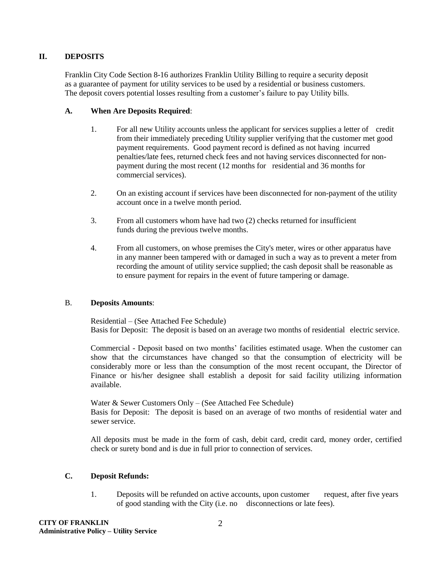#### **II. DEPOSITS**

Franklin City Code Section 8-16 authorizes Franklin Utility Billing to require a security deposit as a guarantee of payment for utility services to be used by a residential or business customers. The deposit covers potential losses resulting from a customer's failure to pay Utility bills.

#### **A. When Are Deposits Required**:

- 1. For all new Utility accounts unless the applicant for services supplies a letter of credit from their immediately preceding Utility supplier verifying that the customer met good payment requirements. Good payment record is defined as not having incurred penalties/late fees, returned check fees and not having services disconnected for nonpayment during the most recent (12 months for residential and 36 months for commercial services).
- 2. On an existing account if services have been disconnected for non-payment of the utility account once in a twelve month period.
- 3. From all customers whom have had two (2) checks returned for insufficient funds during the previous twelve months.
- 4. From all customers, on whose premises the City's meter, wires or other apparatus have in any manner been tampered with or damaged in such a way as to prevent a meter from recording the amount of utility service supplied; the cash deposit shall be reasonable as to ensure payment for repairs in the event of future tampering or damage.

#### B. **Deposits Amounts**:

Residential – (See Attached Fee Schedule) Basis for Deposit: The deposit is based on an average two months of residential electric service.

Commercial - Deposit based on two months' facilities estimated usage. When the customer can show that the circumstances have changed so that the consumption of electricity will be considerably more or less than the consumption of the most recent occupant, the Director of Finance or his/her designee shall establish a deposit for said facility utilizing information available.

Water & Sewer Customers Only – (See Attached Fee Schedule) Basis for Deposit: The deposit is based on an average of two months of residential water and sewer service.

All deposits must be made in the form of cash, debit card, credit card, money order, certified check or surety bond and is due in full prior to connection of services.

### **C. Deposit Refunds:**

1. Deposits will be refunded on active accounts, upon customer request, after five years of good standing with the City (i.e. no disconnections or late fees).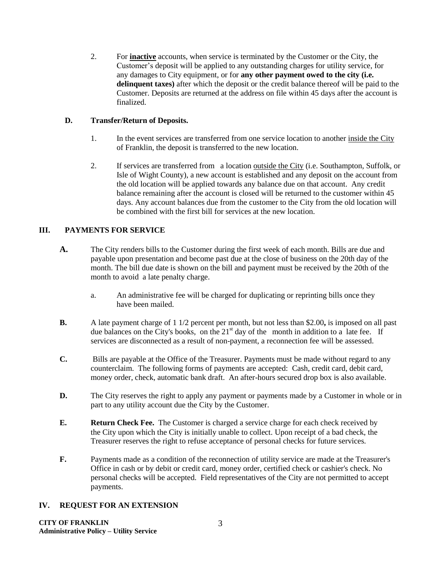2. For **inactive** accounts, when service is terminated by the Customer or the City, the Customer's deposit will be applied to any outstanding charges for utility service, for any damages to City equipment, or for **any other payment owed to the city (i.e. delinquent taxes)** after which the deposit or the credit balance thereof will be paid to the Customer. Deposits are returned at the address on file within 45 days after the account is finalized.

### **D. Transfer/Return of Deposits.**

- 1. In the event services are transferred from one service location to another inside the City of Franklin, the deposit is transferred to the new location.
- 2. If services are transferred from a location outside the City (i.e. Southampton, Suffolk, or Isle of Wight County), a new account is established and any deposit on the account from the old location will be applied towards any balance due on that account. Any credit balance remaining after the account is closed will be returned to the customer within 45 days. Any account balances due from the customer to the City from the old location will be combined with the first bill for services at the new location.

### **III. PAYMENTS FOR SERVICE**

- **A.** The City renders bills to the Customer during the first week of each month. Bills are due and payable upon presentation and become past due at the close of business on the 20th day of the month. The bill due date is shown on the bill and payment must be received by the 20th of the month to avoid a late penalty charge.
	- a. An administrative fee will be charged for duplicating or reprinting bills once they have been mailed.
- **B.** A late payment charge of 1 1/2 percent per month, but not less than \$2.00**,** is imposed on all past due balances on the City's books, on the  $21<sup>st</sup>$  day of the month in addition to a late fee. If services are disconnected as a result of non-payment, a reconnection fee will be assessed.
- **C.** Bills are payable at the Office of the Treasurer. Payments must be made without regard to any counterclaim. The following forms of payments are accepted: Cash, credit card, debit card, money order, check, automatic bank draft. An after-hours secured drop box is also available.
- **D.** The City reserves the right to apply any payment or payments made by a Customer in whole or in part to any utility account due the City by the Customer.
- **E. Return Check Fee.** The Customer is charged a service charge for each check received by the City upon which the City is initially unable to collect. Upon receipt of a bad check, the Treasurer reserves the right to refuse acceptance of personal checks for future services.
- **F.** Payments made as a condition of the reconnection of utility service are made at the Treasurer's Office in cash or by debit or credit card, money order, certified check or cashier's check. No personal checks will be accepted. Field representatives of the City are not permitted to accept payments.

### **IV. REQUEST FOR AN EXTENSION**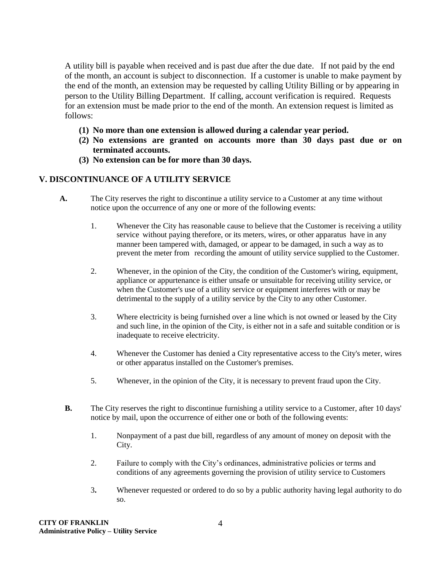A utility bill is payable when received and is past due after the due date. If not paid by the end of the month, an account is subject to disconnection. If a customer is unable to make payment by the end of the month, an extension may be requested by calling Utility Billing or by appearing in person to the Utility Billing Department. If calling, account verification is required. Requests for an extension must be made prior to the end of the month. An extension request is limited as follows:

- **(1) No more than one extension is allowed during a calendar year period.**
- **(2) No extensions are granted on accounts more than 30 days past due or on terminated accounts.**
- **(3) No extension can be for more than 30 days.**

### **V. DISCONTINUANCE OF A UTILITY SERVICE**

- **A.** The City reserves the right to discontinue a utility service to a Customer at any time without notice upon the occurrence of any one or more of the following events:
	- 1. Whenever the City has reasonable cause to believe that the Customer is receiving a utility service without paying therefore, or its meters, wires, or other apparatus have in any manner been tampered with, damaged, or appear to be damaged, in such a way as to prevent the meter from recording the amount of utility service supplied to the Customer.
	- 2. Whenever, in the opinion of the City, the condition of the Customer's wiring, equipment, appliance or appurtenance is either unsafe or unsuitable for receiving utility service, or when the Customer's use of a utility service or equipment interferes with or may be detrimental to the supply of a utility service by the City to any other Customer.
	- 3. Where electricity is being furnished over a line which is not owned or leased by the City and such line, in the opinion of the City, is either not in a safe and suitable condition or is inadequate to receive electricity.
	- 4. Whenever the Customer has denied a City representative access to the City's meter, wires or other apparatus installed on the Customer's premises.
	- 5. Whenever, in the opinion of the City, it is necessary to prevent fraud upon the City.
	- **B.** The City reserves the right to discontinue furnishing a utility service to a Customer, after 10 days' notice by mail, upon the occurrence of either one or both of the following events:
		- 1. Nonpayment of a past due bill, regardless of any amount of money on deposit with the City.
		- 2. Failure to comply with the City's ordinances, administrative policies or terms and conditions of any agreements governing the provision of utility service to Customers
		- 3**.** Whenever requested or ordered to do so by a public authority having legal authority to do so.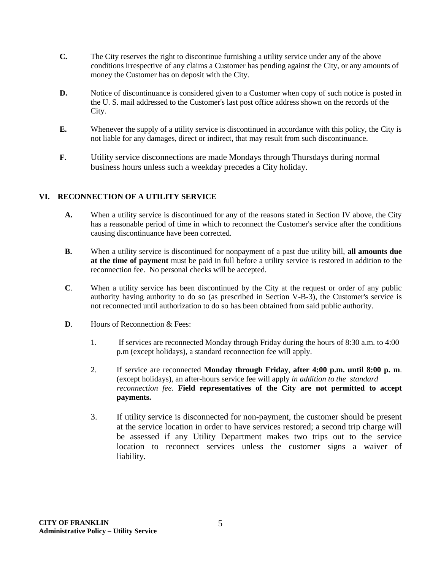- **C.** The City reserves the right to discontinue furnishing a utility service under any of the above conditions irrespective of any claims a Customer has pending against the City, or any amounts of money the Customer has on deposit with the City.
- **D.** Notice of discontinuance is considered given to a Customer when copy of such notice is posted in the U. S. mail addressed to the Customer's last post office address shown on the records of the City.
- **E.** Whenever the supply of a utility service is discontinued in accordance with this policy, the City is not liable for any damages, direct or indirect, that may result from such discontinuance.
- **F.** Utility service disconnections are made Mondays through Thursdays during normal business hours unless such a weekday precedes a City holiday.

## **VI. RECONNECTION OF A UTILITY SERVICE**

- **A.** When a utility service is discontinued for any of the reasons stated in Section IV above, the City has a reasonable period of time in which to reconnect the Customer's service after the conditions causing discontinuance have been corrected.
- **B.** When a utility service is discontinued for nonpayment of a past due utility bill, **all amounts due at the time of payment** must be paid in full before a utility service is restored in addition to the reconnection fee. No personal checks will be accepted.
- **C**. When a utility service has been discontinued by the City at the request or order of any public authority having authority to do so (as prescribed in Section V-B-3), the Customer's service is not reconnected until authorization to do so has been obtained from said public authority.
- **D.** Hours of Reconnection & Fees:
	- 1. If services are reconnected Monday through Friday during the hours of 8:30 a.m. to 4:00 p.m (except holidays), a standard reconnection fee will apply.
	- 2. If service are reconnected **Monday through Friday**, **after 4:00 p.m. until 8:00 p. m**. (except holidays), an after-hours service fee will apply *in addition to the standard reconnection fee.* **Field representatives of the City are not permitted to accept payments.**
	- 3. If utility service is disconnected for non-payment, the customer should be present at the service location in order to have services restored; a second trip charge will be assessed if any Utility Department makes two trips out to the service location to reconnect services unless the customer signs a waiver of liability.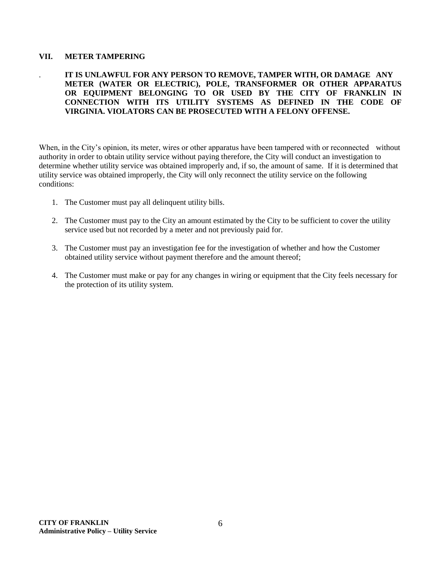#### **VII. METER TAMPERING**

#### . **IT IS UNLAWFUL FOR ANY PERSON TO REMOVE, TAMPER WITH, OR DAMAGE ANY METER (WATER OR ELECTRIC), POLE, TRANSFORMER OR OTHER APPARATUS OR EQUIPMENT BELONGING TO OR USED BY THE CITY OF FRANKLIN IN CONNECTION WITH ITS UTILITY SYSTEMS AS DEFINED IN THE CODE OF VIRGINIA. VIOLATORS CAN BE PROSECUTED WITH A FELONY OFFENSE.**

When, in the City's opinion, its meter, wires or other apparatus have been tampered with or reconnected without authority in order to obtain utility service without paying therefore, the City will conduct an investigation to determine whether utility service was obtained improperly and, if so, the amount of same. If it is determined that utility service was obtained improperly, the City will only reconnect the utility service on the following conditions:

- 1. The Customer must pay all delinquent utility bills.
- 2. The Customer must pay to the City an amount estimated by the City to be sufficient to cover the utility service used but not recorded by a meter and not previously paid for.
- 3. The Customer must pay an investigation fee for the investigation of whether and how the Customer obtained utility service without payment therefore and the amount thereof;
- 4. The Customer must make or pay for any changes in wiring or equipment that the City feels necessary for the protection of its utility system.